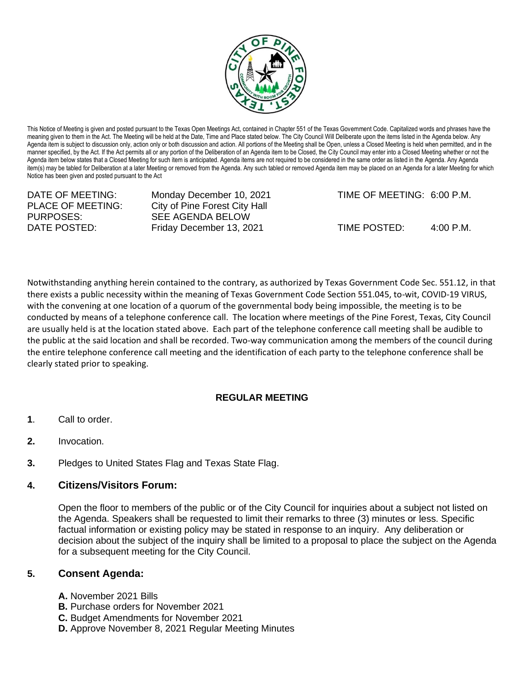

This Notice of Meeting is given and posted pursuant to the Texas Open Meetings Act, contained in Chapter 551 of the Texas Government Code. Capitalized words and phrases have the meaning given to them in the Act. The Meeting will be held at the Date, Time and Place stated below. The City Council Will Deliberate upon the items listed in the Agenda below. Any Agenda item is subject to discussion only, action only or both discussion and action. All portions of the Meeting shall be Open, unless a Closed Meeting is held when permitted, and in the manner specified, by the Act. If the Act permits all or any portion of the Deliberation of an Agenda item to be Closed, the City Council may enter into a Closed Meeting whether or not the Agenda item below states that a Closed Meeting for such item is anticipated. Agenda items are not required to be considered in the same order as listed in the Agenda. Any Agenda item(s) may be tabled for Deliberation at a later Meeting or removed from the Agenda. Any such tabled or removed Agenda item may be placed on an Agenda for a later Meeting for which Notice has been given and posted pursuant to the Act

PURPOSES: SEE AGENDA BELOW

DATE OF MEETING: Monday December 10, 2021 TIME OF MEETING: 6:00 P.M. PLACE OF MEETING: City of Pine Forest City Hall

DATE POSTED: Friday December 13, 2021 TIME POSTED: 4:00 P.M.

Notwithstanding anything herein contained to the contrary, as authorized by Texas Government Code Sec. 551.12, in that there exists a public necessity within the meaning of Texas Government Code Section 551.045, to-wit, COVID-19 VIRUS, with the convening at one location of a quorum of the governmental body being impossible, the meeting is to be conducted by means of a telephone conference call. The location where meetings of the Pine Forest, Texas, City Council are usually held is at the location stated above. Each part of the telephone conference call meeting shall be audible to the public at the said location and shall be recorded. Two-way communication among the members of the council during the entire telephone conference call meeting and the identification of each party to the telephone conference shall be clearly stated prior to speaking.

## **REGULAR MEETING**

- **1**. Call to order.
- **2.** Invocation.
- **3.** Pledges to United States Flag and Texas State Flag.

## **4. Citizens/Visitors Forum:**

Open the floor to members of the public or of the City Council for inquiries about a subject not listed on the Agenda. Speakers shall be requested to limit their remarks to three (3) minutes or less. Specific factual information or existing policy may be stated in response to an inquiry. Any deliberation or decision about the subject of the inquiry shall be limited to a proposal to place the subject on the Agenda for a subsequent meeting for the City Council.

## **5. Consent Agenda:**

- **A.** November 2021 Bills
- **B.** Purchase orders for November 2021
- **C.** Budget Amendments for November 2021
- **D.** Approve November 8, 2021 Regular Meeting Minutes